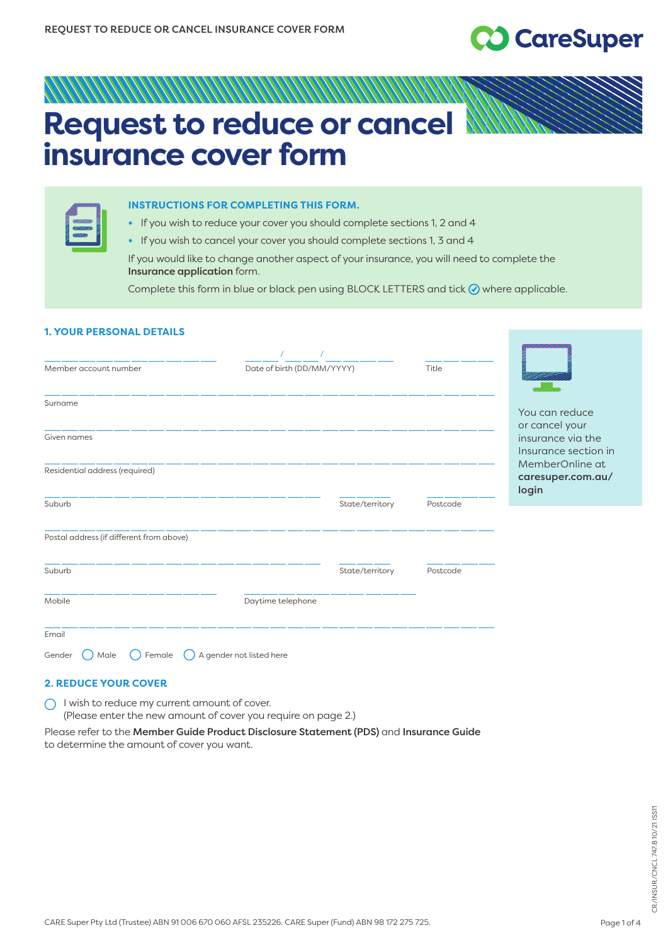# **CO** CareSuper

## **Request to reduce or cancel insurance cover form**

| ≈ |  |
|---|--|
|   |  |

#### **INSTRUCTIONS FOR COMPLETING THIS FORM.**

**•** If you wish to reduce your cover you should complete sections 1, 2 and 4

**•** If you wish to cancel your cover you should complete sections 1, 3 and 4

If you would like to change another aspect of your insurance, you will need to complete the Insurance application form.

Complete this form in blue or black pen using BLOCK LETTERS and tick  $\odot$  where applicable.

#### **1. YOUR PERSONAL DETAILS**

| Member account number                    | Date of birth (DD/MM/YYYY) |                 | Title    |                                               |
|------------------------------------------|----------------------------|-----------------|----------|-----------------------------------------------|
| Surname                                  |                            |                 |          | You can reduce<br>or cancel your              |
| Given names                              |                            |                 |          | insurance via the<br>Insurance section in     |
| Residential address (required)           |                            |                 |          | MemberOnline at<br>caresuper.com.au/<br>login |
| Suburb                                   |                            | State/territory | Postcode |                                               |
| Postal address (if different from above) |                            |                 |          |                                               |
| Suburb                                   |                            | State/territory | Postcode |                                               |
| Mobile                                   | Daytime telephone          |                 |          |                                               |
| Email                                    |                            |                 |          |                                               |
| Gender<br>Male<br>Female                 | A gender not listed here   |                 |          |                                               |

#### **2. REDUCE YOUR COVER**

 $\bigcirc$  I wish to reduce my current amount of cover.

(Please enter the new amount of cover you require on page 2.)

Please refer to the Member Guide Product Disclosure Statement (PDS) and Insurance Guide to determine the amount of cover you want.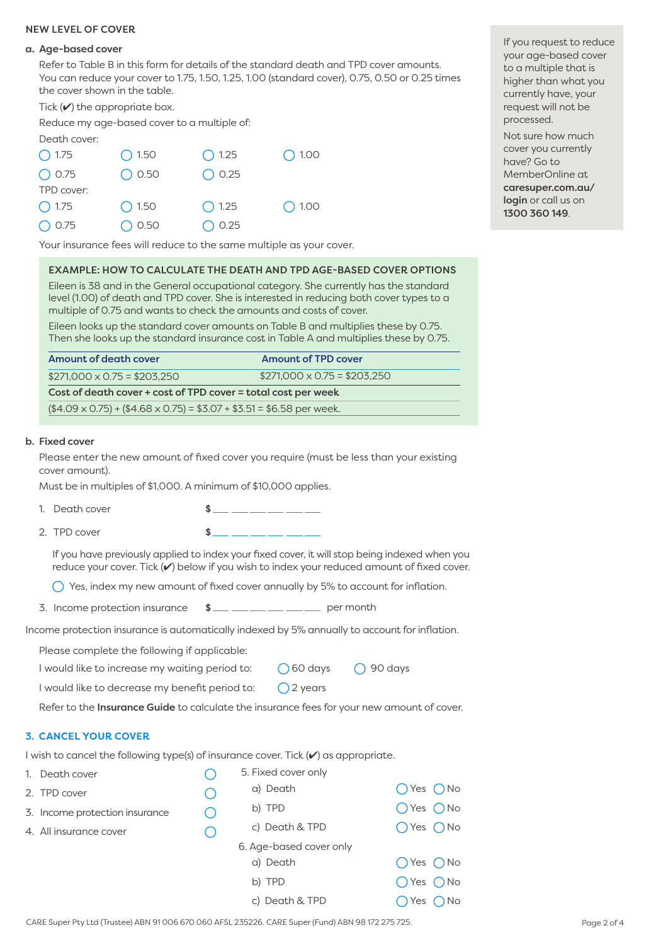#### NEW LEVEL OF COVER

#### a. Age-based cover

Refer to Table B in this form for details of the standard death and TPD cover amounts. You can reduce your cover to 1.75, 1.50, 1.25, 1.00 (standard cover), 0.75, 0.50 or 0.25 times the cover shown in the table.

Tick  $(\vee)$  the appropriate box.

Reduce my age-based cover to a multiple of:

Death cover:

| $\bigcirc$ 1.75 | $\bigcirc$ 1.50 | $\bigcirc$ 1.25 | $\bigcirc$ 1.00 |
|-----------------|-----------------|-----------------|-----------------|
| $O$ 0.75        | $\bigcirc$ 0.50 | $\bigcirc$ 0.25 |                 |
| TPD cover:      |                 |                 |                 |
| $\bigcirc$ 1.75 | $\bigcirc$ 1.50 | $\bigcirc$ 1.25 | $\bigcirc$ 1.00 |
| $\bigcirc$ 0.75 | $\bigcirc$ 0.50 | $\bigcirc$ 0.25 |                 |

If you request to reduce your age-based cover to a multiple that is higher than what you currently have, your request will not be processed.

Not sure how much cover you currently have? Go to MemberOnline at [caresuper.com.au/](http://www.caresuper.com.au/login) login or call us on 1300 360 149.

Your insurance fees will reduce to the same multiple as your cover.

#### EXAMPLE: HOW TO CALCULATE THE DEATH AND TPD AGE-BASED COVER OPTIONS

Eileen is 38 and in the General occupational category. She currently has the standard level (1.00) of death and TPD cover. She is interested in reducing both cover types to a multiple of 0.75 and wants to check the amounts and costs of cover.

Eileen looks up the standard cover amounts on Table B and multiplies these by 0.75. Then she looks up the standard insurance cost in Table A and multiplies these by 0.75.

| Amount of death cover                                                         | <b>Amount of TPD cover</b>        |  |  |  |  |
|-------------------------------------------------------------------------------|-----------------------------------|--|--|--|--|
| $$271,000 \times 0.75 = $203,250$                                             | $$271,000 \times 0.75 = $203,250$ |  |  |  |  |
| Cost of death cover + cost of TPD cover = total cost per week                 |                                   |  |  |  |  |
| $($4.09 \times 0.75) + ($4.68 \times 0.75) = $3.07 + $3.51 = $6.58$ per week. |                                   |  |  |  |  |

#### b. Fixed cover

Please enter the new amount of fixed cover you require (must be less than your existing cover amount).

Must be in multiples of \$1,000. A minimum of \$10,000 applies.

- 
- 1. Death cover  $\qquad \qquad$   $\qquad \qquad$   $\qquad \qquad$   $\qquad \qquad$ 2. TPD cover \$

If you have previously applied to index your fixed cover, it will stop being indexed when you reduce your cover. Tick (v) below if you wish to index your reduced amount of fixed cover.

 $\bigcap$  Yes, index my new amount of fixed cover annually by 5% to account for inflation.

3. Income protection insurance  $\quad \text{S}$  per month

Income protection insurance is automatically indexed by 5% annually to account for inflation.

Please complete the following if applicable:

I would like to increase my waiting period to: 060 days 0 90 days

I would like to decrease my benefit period to:  $\bigcirc$  2 years

Refer to the Insurance Guide to calculate the insurance fees for your new amount of cover.

#### **3. CANCEL YOUR COVER**

I wish to cancel the following type(s) of insurance cover. Tick ( $\checkmark$ ) as appropriate.

| 1. Death cover                 | 5. Fixed cover only     |                            |
|--------------------------------|-------------------------|----------------------------|
| 2. TPD cover                   | a) Death                | $O$ Yes $O$ No             |
| 3. Income protection insurance | b) TPD                  | $O$ Yes $O$ No             |
| 4. All insurance cover         | c) Death & TPD          | $O$ Yes $O$ No             |
|                                | 6. Age-based cover only |                            |
|                                | a) Death                | $O$ Yes $O$ No             |
|                                | b) TPD                  | $O$ Yes $O$ No             |
|                                | c) Death & TPD          | $\bigcap$ Yes $\bigcap$ No |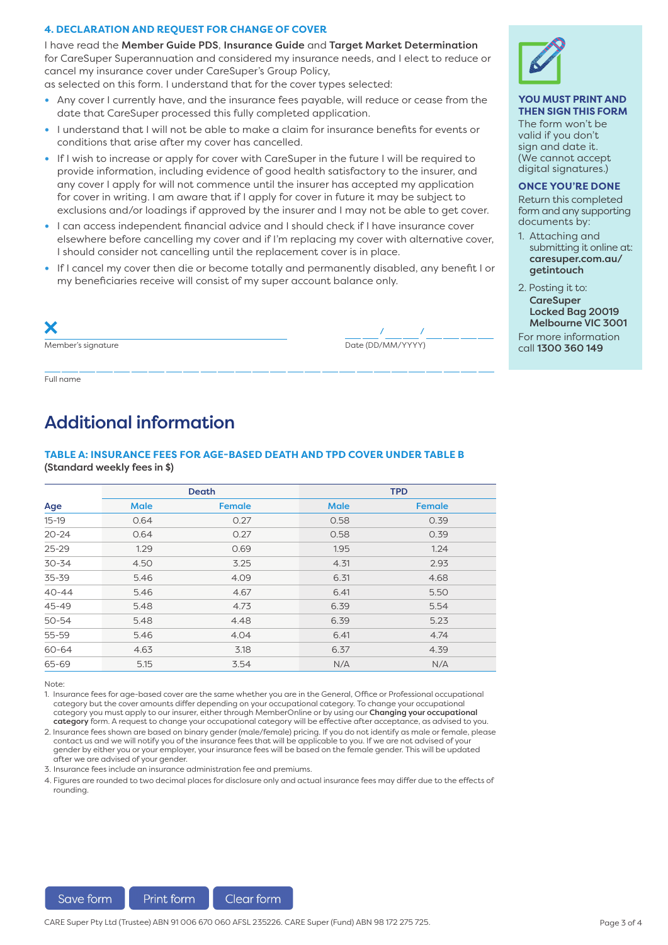#### **4. DECLARATION AND REQUEST FOR CHANGE OF COVER**

I have read the Member Guide PDS, Insurance Guide and Target Market Determination for CareSuper Superannuation and considered my insurance needs, and I elect to reduce or cancel my insurance cover under CareSuper's Group Policy,

as selected on this form. I understand that for the cover types selected:

- **•** Any cover I currently have, and the insurance fees payable, will reduce or cease from the date that CareSuper processed this fully completed application.
- **•** I understand that I will not be able to make a claim for insurance benefits for events or conditions that arise after my cover has cancelled.
- **•** If I wish to increase or apply for cover with CareSuper in the future I will be required to provide information, including evidence of good health satisfactory to the insurer, and any cover I apply for will not commence until the insurer has accepted my application for cover in writing. I am aware that if I apply for cover in future it may be subject to exclusions and/or loadings if approved by the insurer and I may not be able to get cover.
- **•** I can access independent financial advice and I should check if I have insurance cover elsewhere before cancelling my cover and if I'm replacing my cover with alternative cover, I should consider not cancelling until the replacement cover is in place.
- **•** If I cancel my cover then die or become totally and permanently disabled, any benefit I or my beneficiaries receive will consist of my super account balance only.

| X                  |                   |
|--------------------|-------------------|
| Member's signature | Date (DD/MM/YYYY) |

Full name

### Additional information

#### **TABLE A: INSURANCE FEES FOR AGE-BASED DEATH AND TPD COVER UNDER TABLE B**  (Standard weekly fees in \$)

|           | Death       |               | <b>TPD</b>  |               |  |
|-----------|-------------|---------------|-------------|---------------|--|
| Age       | <b>Male</b> | <b>Female</b> | <b>Male</b> | <b>Female</b> |  |
| $15 - 19$ | 0.64        | 0.27          | 0.58        | 0.39          |  |
| $20 - 24$ | 0.64        | 0.27          | 0.58        | 0.39          |  |
| $25 - 29$ | 1.29        | 0.69          | 1.95        | 1.24          |  |
| $30 - 34$ | 4.50        | 3.25          | 4.31        | 2.93          |  |
| 35-39     | 5.46        | 4.09          | 6.31        | 4.68          |  |
| $40 - 44$ | 5.46        | 4.67          | 6.41        | 5.50          |  |
| 45-49     | 5.48        | 4.73          | 6.39        | 5.54          |  |
| $50 - 54$ | 5.48        | 4.48          | 6.39        | 5.23          |  |
| $55 - 59$ | 5.46        | 4.04          | 6.41        | 4.74          |  |
| 60-64     | 4.63        | 3.18          | 6.37        | 4.39          |  |
| 65-69     | 5.15        | 3.54          | N/A         | N/A           |  |

Note:

1. Insurance fees for age-based cover are the same whether you are in the General, Office or Professional occupational category but the cover amounts differ depending on your occupational category. To change your occupational category you must apply to our insurer, either through MemberOnline or by using our Changing your occupational category form. A request to change your occupational category will be effective after acceptance, as advised to you.

2. Insurance fees shown are based on binary gender (male/female) pricing. If you do not identify as male or female, please contact us and we will notify you of the insurance fees that will be applicable to you. If we are not advised of your gender by either you or your employer, your insurance fees will be based on the female gender. This will be updated after we are advised of your gender.

3. Insurance fees include an insurance administration fee and premiums.

4. Figures are rounded to two decimal places for disclosure only and actual insurance fees may differ due to the effects of rounding.



#### **YOU MUST PRINT AND THEN SIGN THIS FORM**

The form won't be valid if you don't sign and date it. (We cannot accept digital signatures.)

**ONCE YOU'RE DONE**

Return this completed form and any supporting documents by:

- 1. Attaching and submitting it online at: [caresuper.com.au/](http://caresuper.com.au/getintouch) getintouch
- 2. Posting it to: **CareSuper** Locked Bag 20019 Melbourne VIC 3001

For more information call 1300 360 149